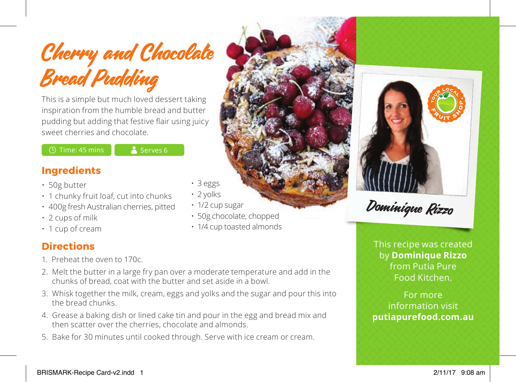

This is a simple but much loved dessert taking inspiration from the humble bread and butter pudding but adding that festive flair using juicy sweet cherries and chocolate.

 $\bigcirc$  Time: 45 mins  $\bigcirc$  Serves 6

## **Ingredients**

- 50g butter
- 1 chunky fruit loaf, cut into chunks
- 400g fresh Australian cherries, pitted
- 2 cups of milk
- 1 cup of cream

## **Directions**

- 1. Preheat the oven to 170c.
- 2. Melt the butter in a large fry pan over a moderate temperature and add in the chunks of bread, coat with the butter and set aside in a bowl.
- 3. Whisk together the milk, cream, eggs and yolks and the sugar and pour this into the bread chunks.
- 4. Grease a baking dish or lined cake tin and pour in the egg and bread mix and then scatter over the cherries, chocolate and almonds.
- 5. Bake for 30 minutes until cooked through. Serve with ice cream or cream.
- 3 eggs
- 2 yolks
- 1/2 cup sugar
- 50g chocolate, chopped
- 1/4 cup toasted almonds



Dominique Rizzo

This recipe was created by **Dominique Rizzo** from Putia Pure Food Kitchen.

For more information visit **putiapurefood.com.au**